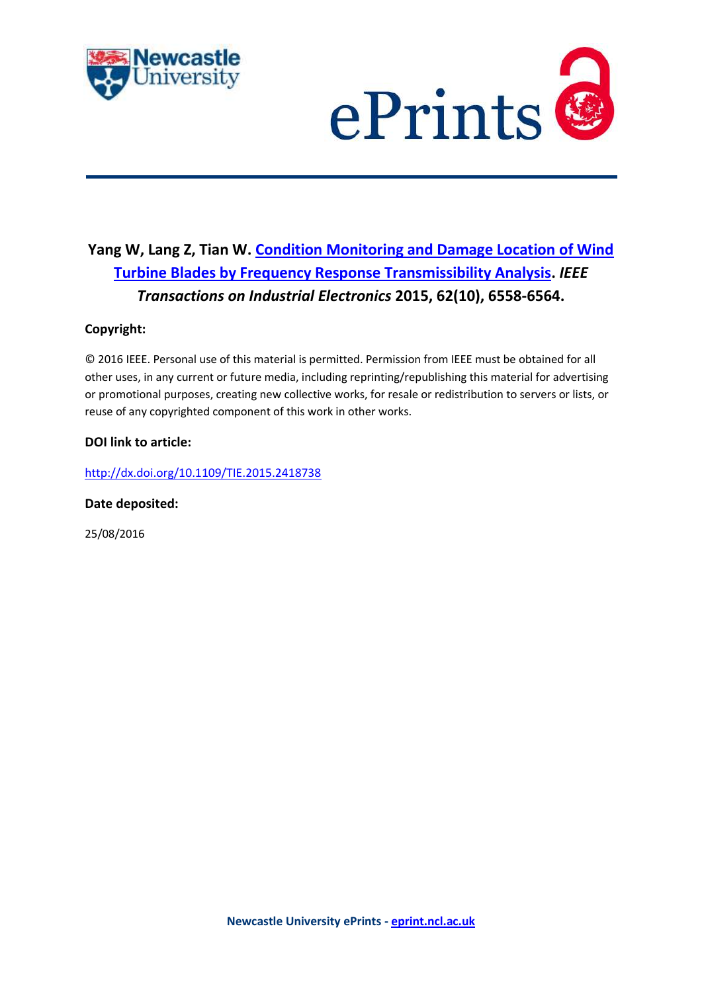



# **Yang W, Lang Z, Tian W. [Condition Monitoring and Damage Location of Wind](javascript:ViewPublication(211103);)  [Turbine Blades by Frequency Response Transmissibility Analysis.](javascript:ViewPublication(211103);)** *IEEE Transactions on Industrial Electronics* **2015, 62(10), 6558-6564.**

# **Copyright:**

© 2016 IEEE. Personal use of this material is permitted. Permission from IEEE must be obtained for all other uses, in any current or future media, including reprinting/republishing this material for advertising or promotional purposes, creating new collective works, for resale or redistribution to servers or lists, or reuse of any copyrighted component of this work in other works.

## **DOI link to article:**

<http://dx.doi.org/10.1109/TIE.2015.2418738>

### **Date deposited:**

25/08/2016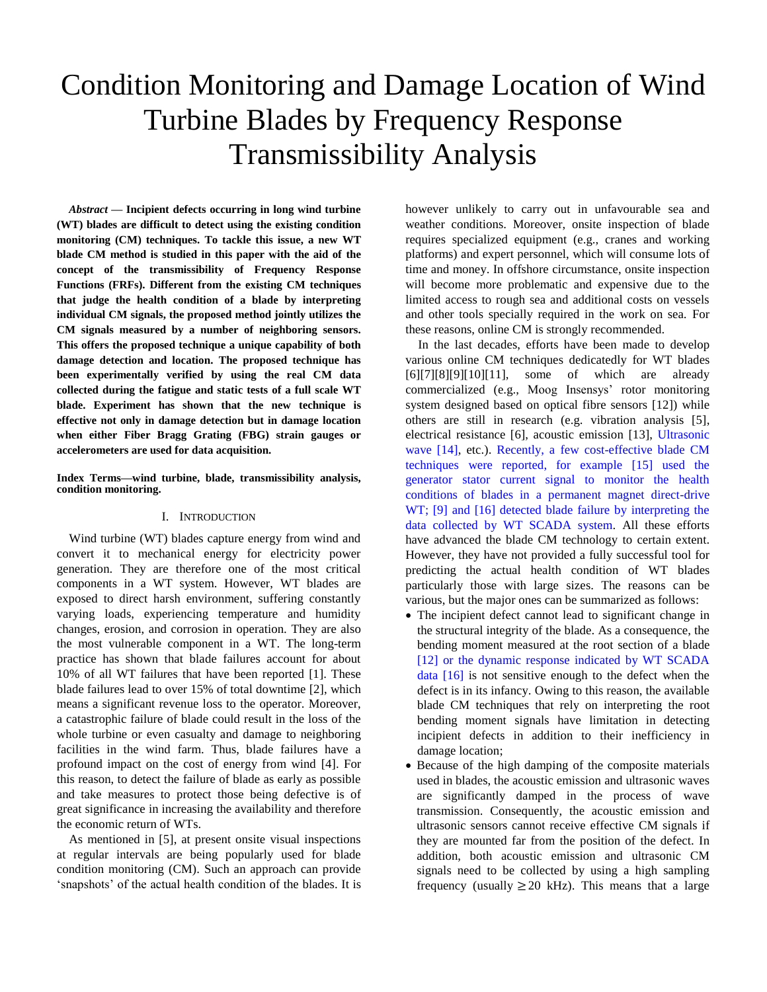# Condition Monitoring and Damage Location of Wind Turbine Blades by Frequency Response Transmissibility Analysis

*Abstract* **— Incipient defects occurring in long wind turbine (WT) blades are difficult to detect using the existing condition monitoring (CM) techniques. To tackle this issue, a new WT blade CM method is studied in this paper with the aid of the concept of the transmissibility of Frequency Response Functions (FRFs). Different from the existing CM techniques that judge the health condition of a blade by interpreting individual CM signals, the proposed method jointly utilizes the CM signals measured by a number of neighboring sensors. This offers the proposed technique a unique capability of both damage detection and location. The proposed technique has been experimentally verified by using the real CM data collected during the fatigue and static tests of a full scale WT blade. Experiment has shown that the new technique is effective not only in damage detection but in damage location when either Fiber Bragg Grating (FBG) strain gauges or accelerometers are used for data acquisition.**

**Index Terms—wind turbine, blade, transmissibility analysis, condition monitoring.**

#### I. INTRODUCTION

Wind turbine (WT) blades capture energy from wind and convert it to mechanical energy for electricity power generation. They are therefore one of the most critical components in a WT system. However, WT blades are exposed to direct harsh environment, suffering constantly varying loads, experiencing temperature and humidity changes, erosion, and corrosion in operation. They are also the most vulnerable component in a WT. The long-term practice has shown that blade failures account for about 10% of all WT failures that have been reported [\[1\].](#page-6-0) These blade failures lead to over 15% of total downtime [\[2\],](#page-6-1) which means a significant revenue loss to the operator. Moreover, a catastrophic failure of blade could result in the loss of the whole turbine or even casualty and damage to neighboring facilities in the wind farm. Thus, blade failures have a profound impact on the cost of energy from wind [4]. For this reason, to detect the failure of blade as early as possible and take measures to protect those being defective is of great significance in increasing the availability and therefore the economic return of WTs.

As mentioned in [\[5\],](#page-6-2) at present onsite visual inspections at regular intervals are being popularly used for blade condition monitoring (CM). Such an approach can provide 'snapshots' of the actual health condition of the blades. It is

however unlikely to carry out in unfavourable sea and weather conditions. Moreover, onsite inspection of blade requires specialized equipment (e.g., cranes and working platforms) and expert personnel, which will consume lots of time and money. In offshore circumstance, onsite inspection will become more problematic and expensive due to the limited access to rough sea and additional costs on vessels and other tools specially required in the work on sea. For these reasons, online CM is strongly recommended.

In the last decades, efforts have been made to develop various online CM techniques dedicatedly for WT blades [\[6\]\[7\]](#page-6-3)[\[8\]\[9\]](#page-6-4)[\[10\]\[](#page-7-0)11], some of which are already commercialized (e.g., Moog Insensys' rotor monitoring system designed based on optical fibre sensors [12]) while others are still in research (e.g. vibration analysis [5], electrical resistance [6], acoustic emission [\[13\],](#page-7-1) Ultrasonic wave [14], etc.). Recently, a few cost-effective blade CM techniques were reported, for example [15] used the generator stator current signal to monitor the health conditions of blades in a permanent magnet direct-drive WT; [9] and [16] detected blade failure by interpreting the data collected by WT SCADA system. All these efforts have advanced the blade CM technology to certain extent. However, they have not provided a fully successful tool for predicting the actual health condition of WT blades particularly those with large sizes. The reasons can be various, but the major ones can be summarized as follows:

- The incipient defect cannot lead to significant change in the structural integrity of the blade. As a consequence, the bending moment measured at the root section of a blade [12] or the dynamic response indicated by WT SCADA data [16] is not sensitive enough to the defect when the defect is in its infancy. Owing to this reason, the available blade CM techniques that rely on interpreting the root bending moment signals have limitation in detecting incipient defects in addition to their inefficiency in damage location;
- Because of the high damping of the composite materials used in blades, the acoustic emission and ultrasonic waves are significantly damped in the process of wave transmission. Consequently, the acoustic emission and ultrasonic sensors cannot receive effective CM signals if they are mounted far from the position of the defect. In addition, both acoustic emission and ultrasonic CM signals need to be collected by using a high sampling frequency (usually  $\geq$  20 kHz). This means that a large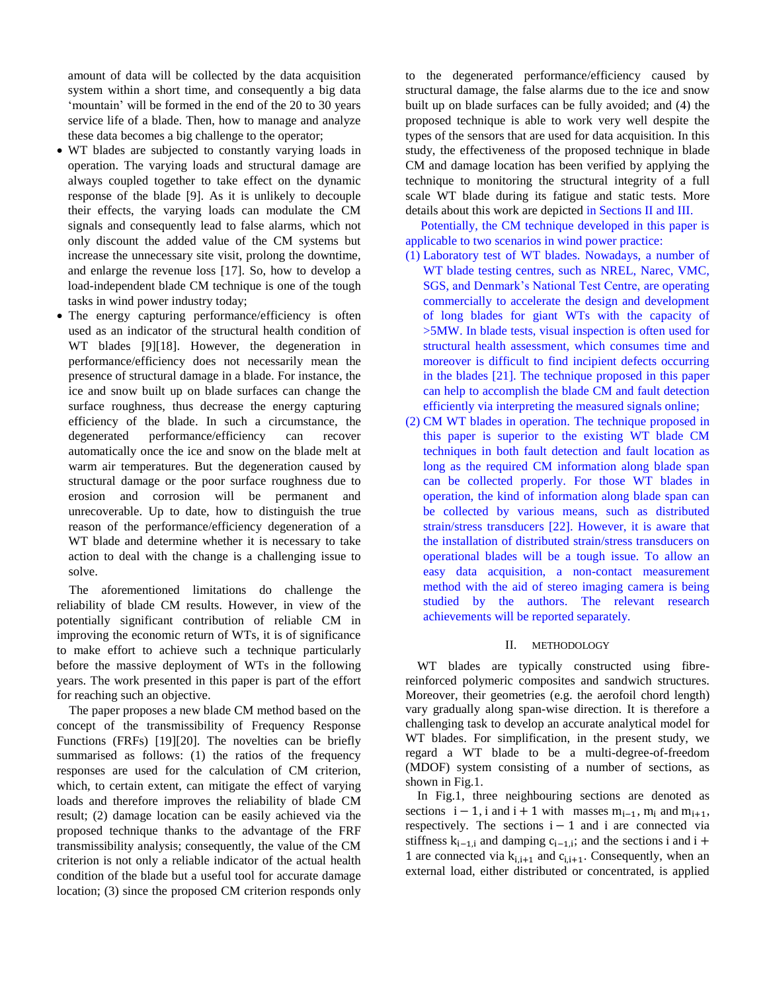amount of data will be collected by the data acquisition system within a short time, and consequently a big data 'mountain' will be formed in the end of the 20 to 30 years service life of a blade. Then, how to manage and analyze these data becomes a big challenge to the operator;

- WT blades are subjected to constantly varying loads in operation. The varying loads and structural damage are always coupled together to take effect on the dynamic response of the blade [9]. As it is unlikely to decouple their effects, the varying loads can modulate the CM signals and consequently lead to false alarms, which not only discount the added value of the CM systems but increase the unnecessary site visit, prolong the downtime, and enlarge the revenue loss [17]. So, how to develop a load-independent blade CM technique is one of the tough tasks in wind power industry today;
- The energy capturing performance/efficiency is often used as an indicator of the structural health condition of WT blades [9][18]. However, the degeneration in performance/efficiency does not necessarily mean the presence of structural damage in a blade. For instance, the ice and snow built up on blade surfaces can change the surface roughness, thus decrease the energy capturing efficiency of the blade. In such a circumstance, the degenerated performance/efficiency can recover automatically once the ice and snow on the blade melt at warm air temperatures. But the degeneration caused by structural damage or the poor surface roughness due to erosion and corrosion will be permanent and unrecoverable. Up to date, how to distinguish the true reason of the performance/efficiency degeneration of a WT blade and determine whether it is necessary to take action to deal with the change is a challenging issue to solve.

The aforementioned limitations do challenge the reliability of blade CM results. However, in view of the potentially significant contribution of reliable CM in improving the economic return of WTs, it is of significance to make effort to achieve such a technique particularly before the massive deployment of WTs in the following years. The work presented in this paper is part of the effort for reaching such an objective.

The paper proposes a new blade CM method based on the concept of the transmissibility of Frequency Response Functions (FRFs) [19][20]. The novelties can be briefly summarised as follows: (1) the ratios of the frequency responses are used for the calculation of CM criterion, which, to certain extent, can mitigate the effect of varying loads and therefore improves the reliability of blade CM result; (2) damage location can be easily achieved via the proposed technique thanks to the advantage of the FRF transmissibility analysis; consequently, the value of the CM criterion is not only a reliable indicator of the actual health condition of the blade but a useful tool for accurate damage location; (3) since the proposed CM criterion responds only

to the degenerated performance/efficiency caused by structural damage, the false alarms due to the ice and snow built up on blade surfaces can be fully avoided; and (4) the proposed technique is able to work very well despite the types of the sensors that are used for data acquisition. In this study, the effectiveness of the proposed technique in blade CM and damage location has been verified by applying the technique to monitoring the structural integrity of a full scale WT blade during its fatigue and static tests. More details about this work are depicted in Sections II and III.

Potentially, the CM technique developed in this paper is applicable to two scenarios in wind power practice:

- (1) Laboratory test of WT blades. Nowadays, a number of WT blade testing centres, such as NREL, Narec, VMC, SGS, and Denmark's National Test Centre, are operating commercially to accelerate the design and development of long blades for giant WTs with the capacity of >5MW. In blade tests, visual inspection is often used for structural health assessment, which consumes time and moreover is difficult to find incipient defects occurring in the blades [21]. The technique proposed in this paper can help to accomplish the blade CM and fault detection efficiently via interpreting the measured signals online;
- (2) CM WT blades in operation. The technique proposed in this paper is superior to the existing WT blade CM techniques in both fault detection and fault location as long as the required CM information along blade span can be collected properly. For those WT blades in operation, the kind of information along blade span can be collected by various means, such as distributed strain/stress transducers [22]. However, it is aware that the installation of distributed strain/stress transducers on operational blades will be a tough issue. To allow an easy data acquisition, a non-contact measurement method with the aid of stereo imaging camera is being studied by the authors. The relevant research achievements will be reported separately.

#### II. METHODOLOGY

WT blades are typically constructed using fibrereinforced polymeric composites and sandwich structures. Moreover, their geometries (e.g. the aerofoil chord length) vary gradually along span-wise direction. It is therefore a challenging task to develop an accurate analytical model for WT blades. For simplification, in the present study, we regard a WT blade to be a multi-degree-of-freedom (MDOF) system consisting of a number of sections, as shown in Fig.1.

In Fig.1, three neighbouring sections are denoted as sections  $i - 1$ , i and  $i + 1$  with masses  $m_{i-1}$ ,  $m_i$  and  $m_{i+1}$ , respectively. The sections  $i - 1$  and i are connected via stiffness  $k_{i-1,i}$  and damping  $c_{i-1,i}$ ; and the sections i and i + 1 are connected via  $k_{i,i+1}$  and  $c_{i,i+1}$ . Consequently, when an external load, either distributed or concentrated, is applied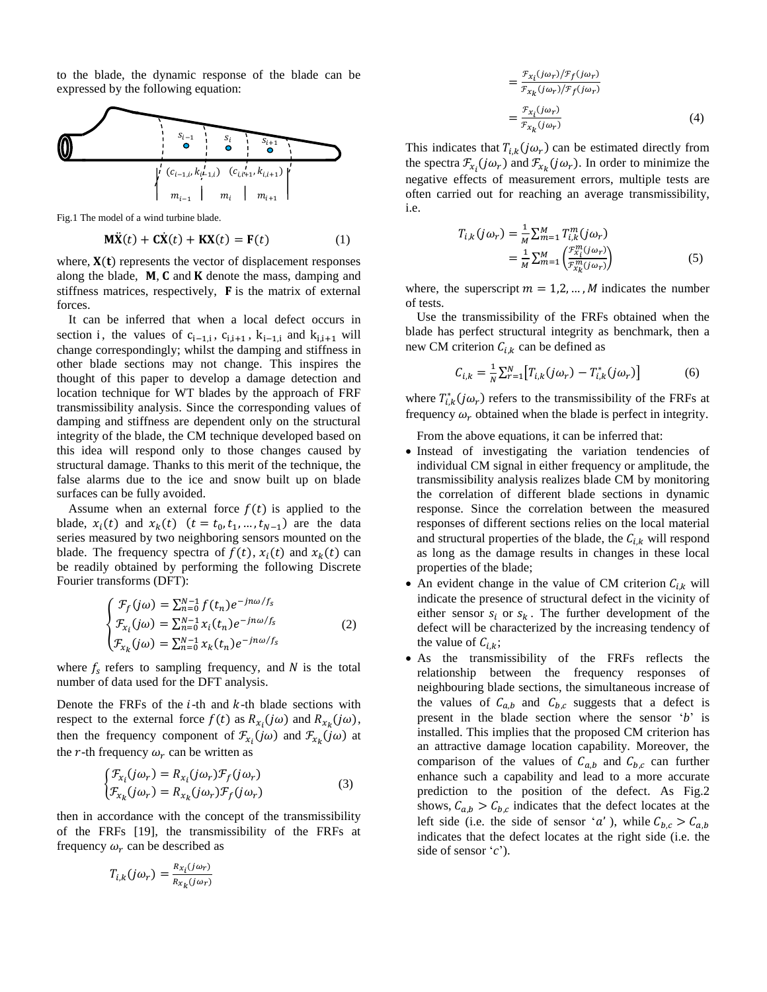to the blade, the dynamic response of the blade can be expressed by the following equation:



Fig.1 The model of a wind turbine blade.

$$
\mathbf{M}\ddot{\mathbf{X}}(t) + \mathbf{C}\dot{\mathbf{X}}(t) + \mathbf{K}\mathbf{X}(t) = \mathbf{F}(t)
$$
 (1)

where,  $X(t)$  represents the vector of displacement responses along the blade,  $M$ ,  $C$  and  $K$  denote the mass, damping and stiffness matrices, respectively,  $\bf{F}$  is the matrix of external forces.

It can be inferred that when a local defect occurs in section i, the values of  $c_{i-1,i}$ ,  $c_{i,i+1}$ ,  $k_{i-1,i}$  and  $k_{i,i+1}$  will change correspondingly; whilst the damping and stiffness in other blade sections may not change. This inspires the thought of this paper to develop a damage detection and location technique for WT blades by the approach of FRF transmissibility analysis. Since the corresponding values of damping and stiffness are dependent only on the structural integrity of the blade, the CM technique developed based on this idea will respond only to those changes caused by structural damage. Thanks to this merit of the technique, the false alarms due to the ice and snow built up on blade surfaces can be fully avoided.

Assume when an external force  $f(t)$  is applied to the blade,  $x_i(t)$  and  $x_k(t)$   $(t = t_0, t_1, ..., t_{N-1})$  are the data series measured by two neighboring sensors mounted on the blade. The frequency spectra of  $f(t)$ ,  $x_i(t)$  and  $x_k(t)$  can be readily obtained by performing the following Discrete Fourier transforms (DFT):

$$
\begin{cases}\n\mathcal{F}_f(j\omega) = \sum_{n=0}^{N-1} f(t_n) e^{-jn\omega/f_s} \\
\mathcal{F}_{x_i}(j\omega) = \sum_{n=0}^{N-1} x_i(t_n) e^{-jn\omega/f_s} \\
\mathcal{F}_{x_k}(j\omega) = \sum_{n=0}^{N-1} x_k(t_n) e^{-jn\omega/f_s}\n\end{cases} (2)
$$

where  $f_s$  refers to sampling frequency, and  $N$  is the total number of data used for the DFT analysis.

Denote the FRFs of the  $i$ -th and  $k$ -th blade sections with respect to the external force  $f(t)$  as  $R_{x_i}(j\omega)$  and  $R_{x_k}(j\omega)$ , then the frequency component of  $\mathcal{F}_{x_i}(j\omega)$  and  $\mathcal{F}_{x_k}(j\omega)$  at the r-th frequency  $\omega_r$  can be written as

$$
\begin{cases} \mathcal{F}_{x_i}(j\omega_r) = R_{x_i}(j\omega_r)\mathcal{F}_f(j\omega_r) \\ \mathcal{F}_{x_k}(j\omega_r) = R_{x_k}(j\omega_r)\mathcal{F}_f(j\omega_r) \end{cases} \tag{3}
$$

then in accordance with the concept of the transmissibility of the FRFs [19], the transmissibility of the FRFs at frequency  $\omega_r$  can be described as

$$
T_{i,k}(j\omega_r) = \frac{R_{x_i}(j\omega_r)}{R_{x_k}(j\omega_r)}
$$

$$
= \frac{\mathcal{F}_{x_i}(j\omega_r)/\mathcal{F}_f(j\omega_r)}{\mathcal{F}_{x_k}(j\omega_r)/\mathcal{F}_f(j\omega_r)}
$$

$$
= \frac{\mathcal{F}_{x_i}(j\omega_r)}{\mathcal{F}_{x_k}(j\omega_r)}
$$
(4)

This indicates that  $T_{i,k}(j\omega_r)$  can be estimated directly from the spectra  $\mathcal{F}_{x_i}(j\omega_r)$  and  $\mathcal{F}_{x_k}(j\omega_r)$ . In order to minimize the negative effects of measurement errors, multiple tests are often carried out for reaching an average transmissibility, i.e.

$$
T_{i,k}(j\omega_r) = \frac{1}{M} \sum_{m=1}^{M} T_{i,k}^m(j\omega_r)
$$
  
= 
$$
\frac{1}{M} \sum_{m=1}^{M} \left( \frac{f_{xi}^m(j\omega_r)}{f_{ik}^m(j\omega_r)} \right)
$$
 (5)

where, the superscript  $m = 1, 2, ..., M$  indicates the number of tests.

Use the transmissibility of the FRFs obtained when the blade has perfect structural integrity as benchmark, then a new CM criterion  $C_{i,k}$  can be defined as

$$
C_{i,k} = \frac{1}{N} \sum_{r=1}^{N} \left[ T_{i,k}(j\omega_r) - T_{i,k}^*(j\omega_r) \right]
$$
 (6)

where  $T_{i,k}^*(j\omega_r)$  refers to the transmissibility of the FRFs at frequency  $\omega_r$  obtained when the blade is perfect in integrity.

From the above equations, it can be inferred that:

- Instead of investigating the variation tendencies of individual CM signal in either frequency or amplitude, the transmissibility analysis realizes blade CM by monitoring the correlation of different blade sections in dynamic response. Since the correlation between the measured responses of different sections relies on the local material and structural properties of the blade, the  $C_{i,k}$  will respond as long as the damage results in changes in these local properties of the blade;
- An evident change in the value of CM criterion  $C_{i,k}$  will indicate the presence of structural defect in the vicinity of either sensor  $s_i$  or  $s_k$ . The further development of the defect will be characterized by the increasing tendency of the value of  $C_{i,k}$ ;
- As the transmissibility of the FRFs reflects the relationship between the frequency responses of neighbouring blade sections, the simultaneous increase of the values of  $C_{a,b}$  and  $C_{b,c}$  suggests that a defect is present in the blade section where the sensor '*b*' is installed. This implies that the proposed CM criterion has an attractive damage location capability. Moreover, the comparison of the values of  $C_{a,b}$  and  $C_{b,c}$  can further enhance such a capability and lead to a more accurate prediction to the position of the defect. As Fig.2 shows,  $C_{a,b} > C_{b,c}$  indicates that the defect locates at the left side (i.e. the side of sensor 'a'), while  $C_{b,c} > C_{a,b}$ indicates that the defect locates at the right side (i.e. the side of sensor '*c*').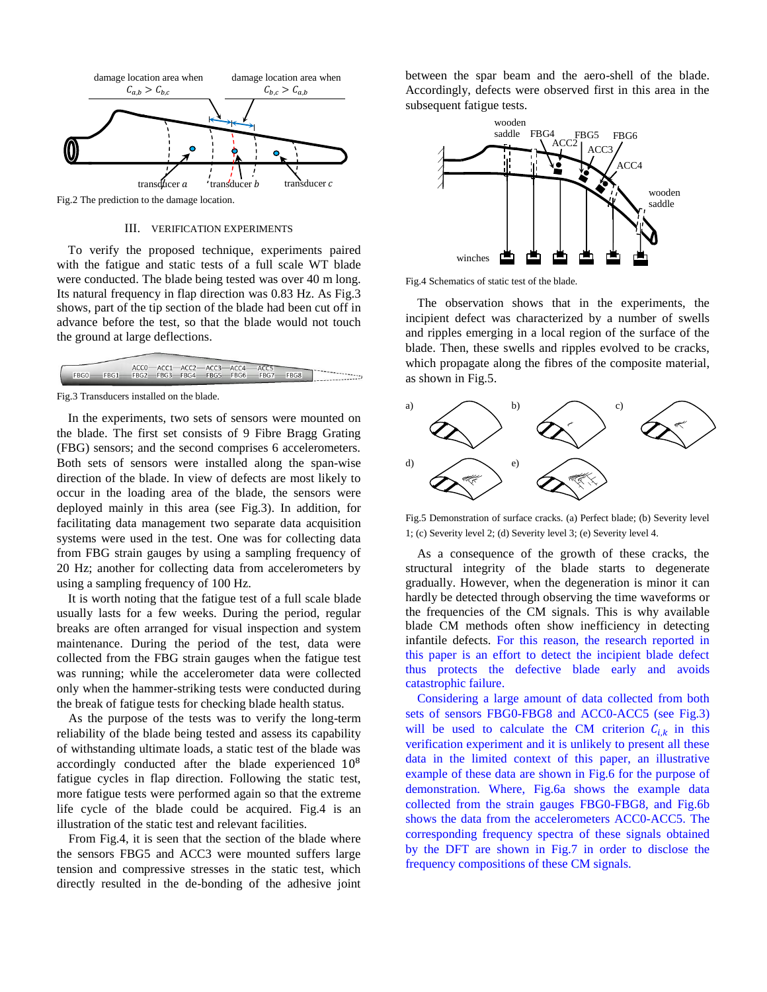

#### III. VERIFICATION EXPERIMENTS

To verify the proposed technique, experiments paired with the fatigue and static tests of a full scale WT blade were conducted. The blade being tested was over 40 m long. Its natural frequency in flap direction was 0.83 Hz. As Fig.3 shows, part of the tip section of the blade had been cut off in advance before the test, so that the blade would not touch the ground at large deflections.

|                 |  | ACCO-ACC1-ACC2-ACC3-ACC4-ACC5 |  |  |                                              |  |
|-----------------|--|-------------------------------|--|--|----------------------------------------------|--|
| --------------- |  |                               |  |  | FBG0 FBG1 FBG2 FBG3 FBG4 FBG5 FBG6 FBG7 FBG8 |  |
|                 |  |                               |  |  |                                              |  |

Fig.3 Transducers installed on the blade.

In the experiments, two sets of sensors were mounted on the blade. The first set consists of 9 Fibre Bragg Grating (FBG) sensors; and the second comprises 6 accelerometers. Both sets of sensors were installed along the span-wise direction of the blade. In view of defects are most likely to occur in the loading area of the blade, the sensors were deployed mainly in this area (see Fig.3). In addition, for facilitating data management two separate data acquisition systems were used in the test. One was for collecting data from FBG strain gauges by using a sampling frequency of 20 Hz; another for collecting data from accelerometers by using a sampling frequency of 100 Hz.

It is worth noting that the fatigue test of a full scale blade usually lasts for a few weeks. During the period, regular breaks are often arranged for visual inspection and system maintenance. During the period of the test, data were collected from the FBG strain gauges when the fatigue test was running; while the accelerometer data were collected only when the hammer-striking tests were conducted during the break of fatigue tests for checking blade health status.

As the purpose of the tests was to verify the long-term reliability of the blade being tested and assess its capability of withstanding ultimate loads, a static test of the blade was accordingly conducted after the blade experienced 10<sup>8</sup> fatigue cycles in flap direction. Following the static test, more fatigue tests were performed again so that the extreme life cycle of the blade could be acquired. Fig.4 is an illustration of the static test and relevant facilities.

From Fig.4, it is seen that the section of the blade where the sensors FBG5 and ACC3 were mounted suffers large tension and compressive stresses in the static test, which directly resulted in the de-bonding of the adhesive joint

between the spar beam and the aero-shell of the blade. Accordingly, defects were observed first in this area in the subsequent fatigue tests.



Fig.4 Schematics of static test of the blade.

The observation shows that in the experiments, the incipient defect was characterized by a number of swells and ripples emerging in a local region of the surface of the blade. Then, these swells and ripples evolved to be cracks, which propagate along the fibres of the composite material, as shown in Fig.5.



Fig.5 Demonstration of surface cracks. (a) Perfect blade; (b) Severity level 1; (c) Severity level 2; (d) Severity level 3; (e) Severity level 4.

As a consequence of the growth of these cracks, the structural integrity of the blade starts to degenerate gradually. However, when the degeneration is minor it can hardly be detected through observing the time waveforms or the frequencies of the CM signals. This is why available blade CM methods often show inefficiency in detecting infantile defects. For this reason, the research reported in this paper is an effort to detect the incipient blade defect thus protects the defective blade early and avoids catastrophic failure.

Considering a large amount of data collected from both sets of sensors FBG0-FBG8 and ACC0-ACC5 (see Fig.3) will be used to calculate the CM criterion  $C_{i,k}$  in this verification experiment and it is unlikely to present all these data in the limited context of this paper, an illustrative example of these data are shown in Fig.6 for the purpose of demonstration. Where, Fig.6a shows the example data collected from the strain gauges FBG0-FBG8, and Fig.6b shows the data from the accelerometers ACC0-ACC5. The corresponding frequency spectra of these signals obtained by the DFT are shown in Fig.7 in order to disclose the frequency compositions of these CM signals.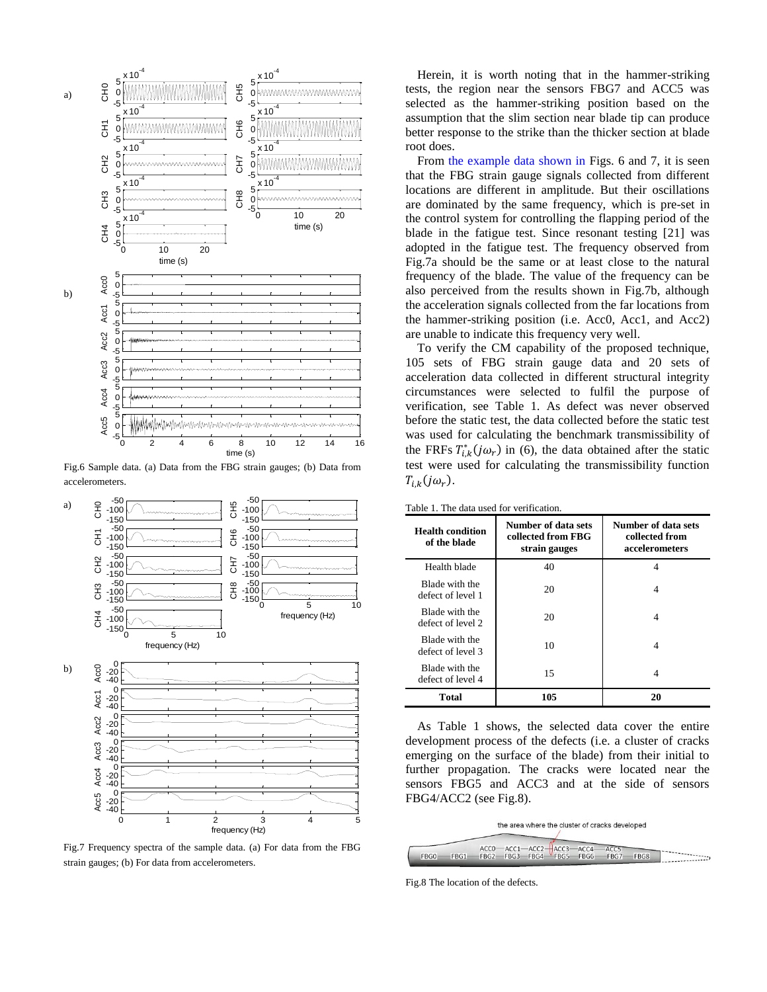

Fig.6 Sample data. (a) Data from the FBG strain gauges; (b) Data from accelerometers.



Fig.7 Frequency spectra of the sample data. (a) For data from the FBG strain gauges; (b) For data from accelerometers.

Herein, it is worth noting that in the hammer-striking tests, the region near the sensors FBG7 and ACC5 was selected as the hammer-striking position based on the assumption that the slim section near blade tip can produce better response to the strike than the thicker section at blade root does.

From the example data shown in Figs. 6 and 7, it is seen that the FBG strain gauge signals collected from different locations are different in amplitude. But their oscillations are dominated by the same frequency, which is pre-set in the control system for controlling the flapping period of the blade in the fatigue test. Since resonant testing [21] was adopted in the fatigue test. The frequency observed from Fig.7a should be the same or at least close to the natural frequency of the blade. The value of the frequency can be also perceived from the results shown in Fig.7b, although the acceleration signals collected from the far locations from the hammer-striking position (i.e. Acc0, Acc1, and Acc2) are unable to indicate this frequency very well.

To verify the CM capability of the proposed technique, 105 sets of FBG strain gauge data and 20 sets of acceleration data collected in different structural integrity circumstances were selected to fulfil the purpose of verification, see Table 1. As defect was never observed before the static test, the data collected before the static test was used for calculating the benchmark transmissibility of the FRFs  $T_{i,k}^*(j\omega_r)$  in (6), the data obtained after the static test were used for calculating the transmissibility function  $T_{i,k}(j\omega_r)$ .

| Table 1. The data used for verification. |
|------------------------------------------|
|------------------------------------------|

| <b>Health condition</b><br>of the blade | Number of data sets<br>collected from FBG<br>strain gauges | Number of data sets<br>collected from<br>accelerometers |
|-----------------------------------------|------------------------------------------------------------|---------------------------------------------------------|
| Health blade                            | 40                                                         | 4                                                       |
| Blade with the<br>defect of level 1     | 20                                                         | 4                                                       |
| Blade with the<br>defect of level 2     | 20                                                         | 4                                                       |
| Blade with the<br>defect of level 3     | 10                                                         | 4                                                       |
| Blade with the<br>defect of level 4     | 15                                                         | 4                                                       |
| <b>Total</b>                            | 105                                                        | 20                                                      |

As Table 1 shows, the selected data cover the entire development process of the defects (i.e. a cluster of cracks emerging on the surface of the blade) from their initial to further propagation. The cracks were located near the sensors FBG5 and ACC3 and at the side of sensors FBG4/ACC2 (see Fig.8).

the area where the cluster of cracks developed

|      |                                         |  |  | ACCO-ACC1-ACC2-ACC3-ACC4-ACC5 |         |
|------|-----------------------------------------|--|--|-------------------------------|---------|
| FBG0 | FBG1 FBG2 FBG3 FBG4 FBG5 FBG6 FBG7 FBG8 |  |  |                               | ------- |
|      |                                         |  |  |                               |         |

Fig.8 The location of the defects.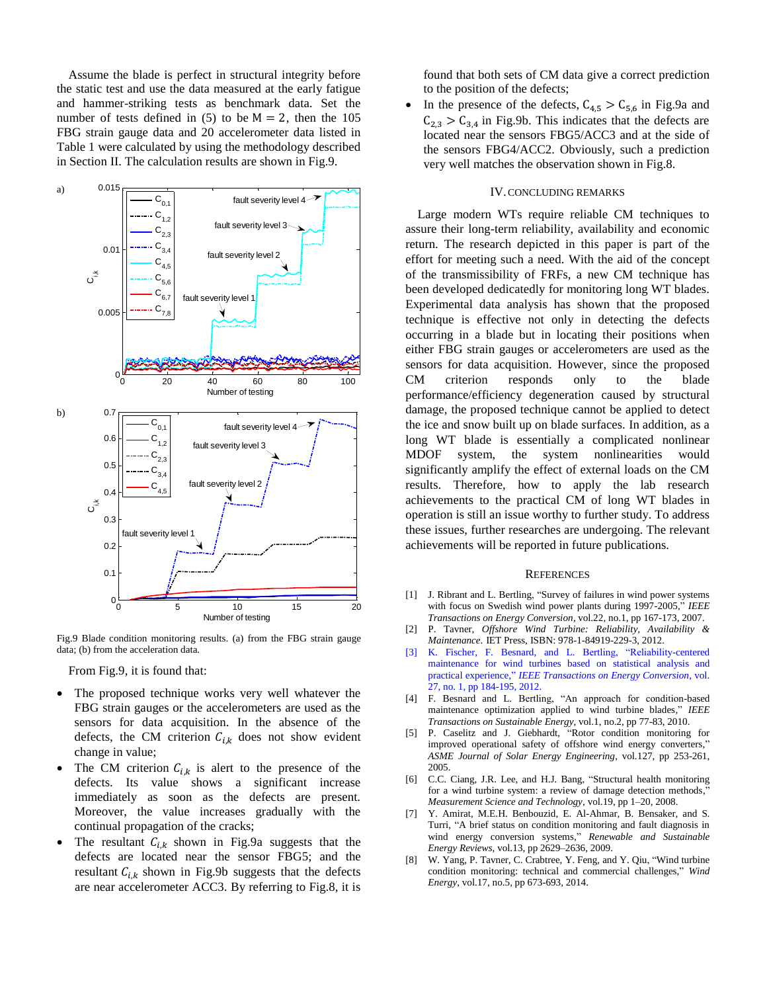Assume the blade is perfect in structural integrity before the static test and use the data measured at the early fatigue and hammer-striking tests as benchmark data. Set the number of tests defined in (5) to be  $M = 2$ , then the 105 FBG strain gauge data and 20 accelerometer data listed in Table 1 were calculated by using the methodology described in Section II. The calculation results are shown in Fig.9.



Fig.9 Blade condition monitoring results. (a) from the FBG strain gauge data; (b) from the acceleration data.

From Fig.9, it is found that:

- The proposed technique works very well whatever the FBG strain gauges or the accelerometers are used as the sensors for data acquisition. In the absence of the defects, the CM criterion  $C_{i,k}$  does not show evident change in value;
- The CM criterion  $C_{i,k}$  is alert to the presence of the defects. Its value shows a significant increase immediately as soon as the defects are present. Moreover, the value increases gradually with the continual propagation of the cracks;
- The resultant  $C_{ik}$  shown in Fig.9a suggests that the defects are located near the sensor FBG5; and the resultant  $C_{i,k}$  shown in Fig.9b suggests that the defects are near accelerometer ACC3. By referring to Fig.8, it is

found that both sets of CM data give a correct prediction to the position of the defects;

In the presence of the defects,  $C_{4,5} > C_{5,6}$  in Fig.9a and  $C_{2,3} > C_{3,4}$  in Fig.9b. This indicates that the defects are located near the sensors FBG5/ACC3 and at the side of the sensors FBG4/ACC2. Obviously, such a prediction very well matches the observation shown in Fig.8.

#### IV.CONCLUDING REMARKS

Large modern WTs require reliable CM techniques to assure their long-term reliability, availability and economic return. The research depicted in this paper is part of the effort for meeting such a need. With the aid of the concept of the transmissibility of FRFs, a new CM technique has been developed dedicatedly for monitoring long WT blades. Experimental data analysis has shown that the proposed technique is effective not only in detecting the defects occurring in a blade but in locating their positions when either FBG strain gauges or accelerometers are used as the sensors for data acquisition. However, since the proposed CM criterion responds only to the blade performance/efficiency degeneration caused by structural damage, the proposed technique cannot be applied to detect the ice and snow built up on blade surfaces. In addition, as a long WT blade is essentially a complicated nonlinear MDOF system, the system nonlinearities would significantly amplify the effect of external loads on the CM results. Therefore, how to apply the lab research achievements to the practical CM of long WT blades in operation is still an issue worthy to further study. To address these issues, further researches are undergoing. The relevant achievements will be reported in future publications.

#### **REFERENCES**

- <span id="page-6-0"></span>[1] J. Ribrant and L. Bertling, "Survey of failures in wind power systems with focus on Swedish wind power plants during 1997-2005," *IEEE Transactions on Energy Conversion*, vol.22, no.1, pp 167-173, 2007.
- <span id="page-6-1"></span>[2] P. Tavner, *Offshore Wind Turbine: Reliability, Availability & Maintenance*. IET Press, ISBN: 978-1-84919-229-3, 2012.
- [3] K. Fischer, F. Besnard, and L. Bertling, "Reliability-centered maintenance for wind turbines based on statistical analysis and practical experience," *IEEE Transactions on Energy Conversion*, vol. 27, no. 1, pp 184-195, 2012.
- [4] F. Besnard and L. Bertling, "An approach for condition-based maintenance optimization applied to wind turbine blades," *IEEE Transactions on Sustainable Energy*, vol.1, no.2, pp 77-83, 2010.
- <span id="page-6-2"></span>[5] P. Caselitz and J. Giebhardt, "Rotor condition monitoring for improved operational safety of offshore wind energy converters," *[ASME Journal of Solar Energy Engineering](http://ieeexplore.ieee.org/xpl/RecentCon.jsp?punumber=4374554)*, vol.127, pp 253-261, 2005.
- <span id="page-6-3"></span>[6] C.C. Ciang, J.R. Lee, and H.J. Bang, "Structural health monitoring for a wind turbine system: a review of damage detection methods, *Measurement Science and Technology*, vol.19, pp 1–20, 2008.
- [7] Y. Amirat, M.E.H. Benbouzid, E. Al-Ahmar, B. Bensaker, and S. Turri, "A brief status on condition monitoring and fault diagnosis in wind energy conversion systems," *[Renewable and Sustainable](http://ieeexplore.ieee.org/xpl/RecentIssue.jsp?punumber=60)  [Energy Reviews](http://ieeexplore.ieee.org/xpl/RecentIssue.jsp?punumber=60)*, vol.13, pp 2629–2636, 2009.
- <span id="page-6-4"></span>[8] W. Yang, P. Tavner, C. Crabtree, Y. Feng, and Y. Qiu, "Wind turbine condition monitoring: technical and commercial challenges," *Wind Energy*, vol.17, no.5, pp 673-693, 2014.